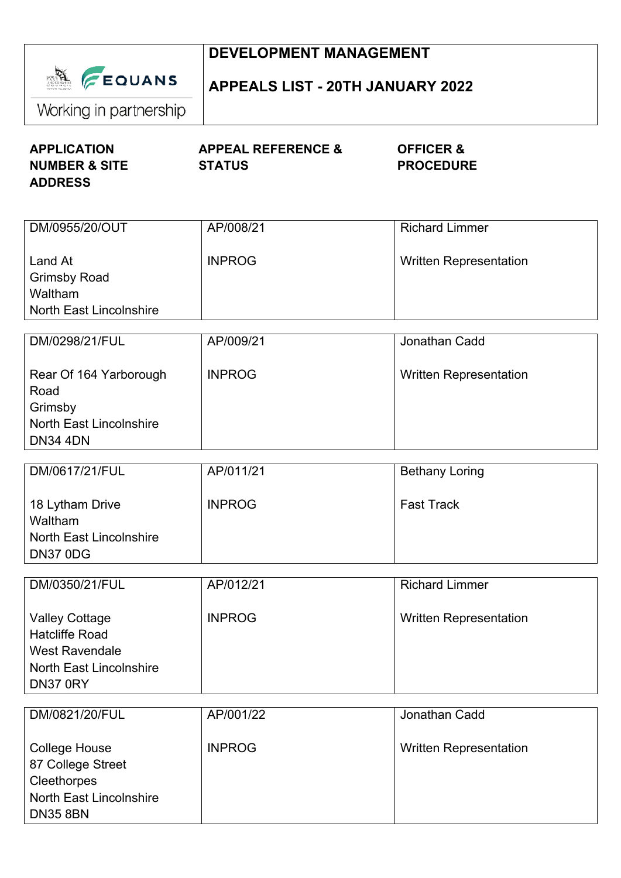|                                                                                                               | <b>DEVELOPMENT MANAGEMENT</b>                  |                                          |  |
|---------------------------------------------------------------------------------------------------------------|------------------------------------------------|------------------------------------------|--|
| <b>A FEQUANS</b><br>Working in partnership                                                                    | <b>APPEALS LIST - 20TH JANUARY 2022</b>        |                                          |  |
| <b>APPLICATION</b><br><b>NUMBER &amp; SITE</b>                                                                | <b>APPEAL REFERENCE &amp;</b><br><b>STATUS</b> | <b>OFFICER &amp;</b><br><b>PROCEDURE</b> |  |
| <b>ADDRESS</b>                                                                                                |                                                |                                          |  |
| DM/0955/20/OUT                                                                                                | AP/008/21                                      | <b>Richard Limmer</b>                    |  |
| Land At<br><b>Grimsby Road</b><br>Waltham                                                                     | <b>INPROG</b>                                  | <b>Written Representation</b>            |  |
| <b>North East Lincolnshire</b>                                                                                |                                                |                                          |  |
| DM/0298/21/FUL                                                                                                | AP/009/21                                      | Jonathan Cadd                            |  |
| Rear Of 164 Yarborough<br>Road<br>Grimsby                                                                     | <b>INPROG</b>                                  | <b>Written Representation</b>            |  |
| <b>North East Lincolnshire</b><br><b>DN34 4DN</b>                                                             |                                                |                                          |  |
| DM/0617/21/FUL                                                                                                | AP/011/21                                      | <b>Bethany Loring</b>                    |  |
| 18 Lytham Drive<br>Waltham                                                                                    | <b>INPROG</b>                                  | <b>Fast Track</b>                        |  |
| <b>North East Lincolnshire</b><br>DN37 0DG                                                                    |                                                |                                          |  |
| DM/0350/21/FUL                                                                                                | AP/012/21                                      | <b>Richard Limmer</b>                    |  |
| <b>Valley Cottage</b><br><b>Hatcliffe Road</b><br><b>West Ravendale</b>                                       | <b>INPROG</b>                                  | <b>Written Representation</b>            |  |
| <b>North East Lincolnshire</b><br>DN37 0RY                                                                    |                                                |                                          |  |
| DM/0821/20/FUL                                                                                                | AP/001/22                                      | Jonathan Cadd                            |  |
| <b>College House</b><br>87 College Street<br>Cleethorpes<br><b>North East Lincolnshire</b><br><b>DN35 8BN</b> | <b>INPROG</b>                                  | <b>Written Representation</b>            |  |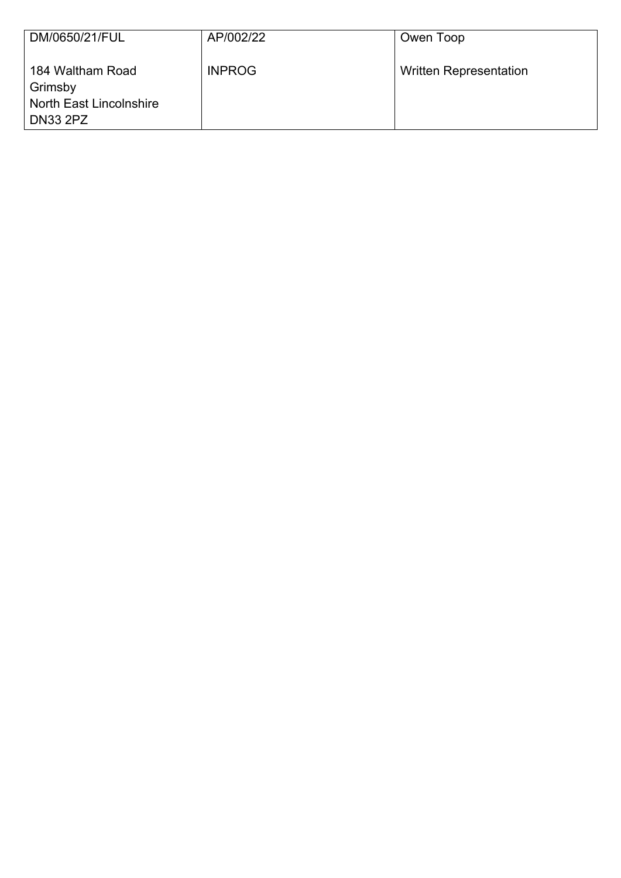| DM/0650/21/FUL                                                                   | AP/002/22     | Owen Toop                     |
|----------------------------------------------------------------------------------|---------------|-------------------------------|
| 184 Waltham Road<br>Grimsby<br><b>North East Lincolnshire</b><br><b>DN33 2PZ</b> | <b>INPROG</b> | <b>Written Representation</b> |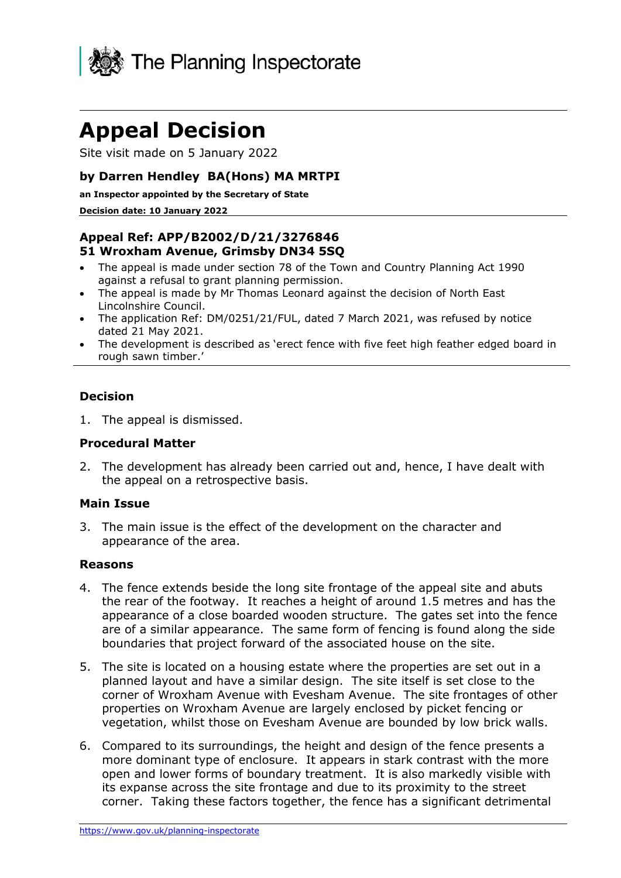

# **Appeal Decision**

Site visit made on 5 January 2022

### **by Darren Hendley BA(Hons) MA MRTPI**

**an Inspector appointed by the Secretary of State**

#### **Decision date: 10 January 2022**

## **Appeal Ref: APP/B2002/D/21/3276846 51 Wroxham Avenue, Grimsby DN34 5SQ**

- The appeal is made under section 78 of the Town and Country Planning Act 1990 against a refusal to grant planning permission.
- The appeal is made by Mr Thomas Leonard against the decision of North East Lincolnshire Council.
- The application Ref: DM/0251/21/FUL, dated 7 March 2021, was refused by notice dated 21 May 2021.
- The development is described as 'erect fence with five feet high feather edged board in rough sawn timber.'

#### **Decision**

1. The appeal is dismissed.

#### **Procedural Matter**

2. The development has already been carried out and, hence, I have dealt with the appeal on a retrospective basis.

#### **Main Issue**

3. The main issue is the effect of the development on the character and appearance of the area.

#### **Reasons**

- 4. The fence extends beside the long site frontage of the appeal site and abuts the rear of the footway. It reaches a height of around 1.5 metres and has the appearance of a close boarded wooden structure. The gates set into the fence are of a similar appearance. The same form of fencing is found along the side boundaries that project forward of the associated house on the site.
- 5. The site is located on a housing estate where the properties are set out in a planned layout and have a similar design. The site itself is set close to the corner of Wroxham Avenue with Evesham Avenue. The site frontages of other properties on Wroxham Avenue are largely enclosed by picket fencing or vegetation, whilst those on Evesham Avenue are bounded by low brick walls.
- 6. Compared to its surroundings, the height and design of the fence presents a more dominant type of enclosure. It appears in stark contrast with the more open and lower forms of boundary treatment. It is also markedly visible with its expanse across the site frontage and due to its proximity to the street corner. Taking these factors together, the fence has a significant detrimental